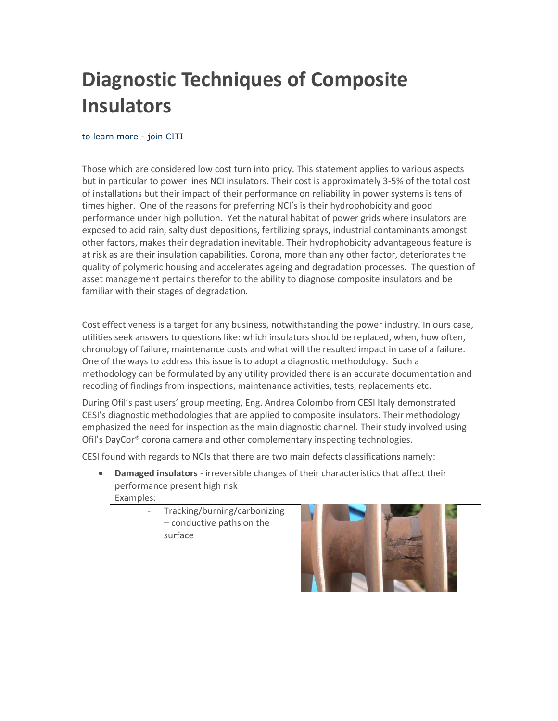# **Diagnostic Techniques of Composite Insulators**

# [to learn more -](http://www.citi-training.com/registration.html) join CITI

Those which are considered low cost turn into pricy. This statement applies to various aspects but in particular to power lines NCI insulators. Their cost is approximately 3-5% of the total cost of installations but their impact of their performance on reliability in power systems is tens of times higher. One of the reasons for preferring NCI's is their hydrophobicity and good performance under high pollution. Yet the natural habitat of power grids where insulators are exposed to acid rain, salty dust depositions, fertilizing sprays, industrial contaminants amongst other factors, makes their degradation inevitable. Their hydrophobicity advantageous feature is at risk as are their insulation capabilities. Corona, more than any other factor, deteriorates the quality of polymeric housing and accelerates ageing and degradation processes. The question of asset management pertains therefor to the ability to diagnose composite insulators and be familiar with their stages of degradation.

Cost effectiveness is a target for any business, notwithstanding the power industry. In ours case, utilities seek answers to questions like: which insulators should be replaced, when, how often, chronology of failure, maintenance costs and what will the resulted impact in case of a failure. One of the ways to address this issue is to adopt a diagnostic methodology. Such a methodology can be formulated by any utility provided there is an accurate documentation and recoding of findings from inspections, maintenance activities, tests, replacements etc.

During Ofil's past users' group meeting, Eng. Andrea Colombo from CESI Italy demonstrated CESI's diagnostic methodologies that are applied to composite insulators. Their methodology emphasized the need for inspection as the main diagnostic channel. Their study involved using Ofil's DayCor® corona camera and other complementary inspecting technologies.

CESI found with regards to NCIs that there are two main defects classifications namely:

- **Damaged insulators** irreversible changes of their characteristics that affect their performance present high risk
	- Examples:
		- Tracking/burning/carbonizing – conductive paths on the surface

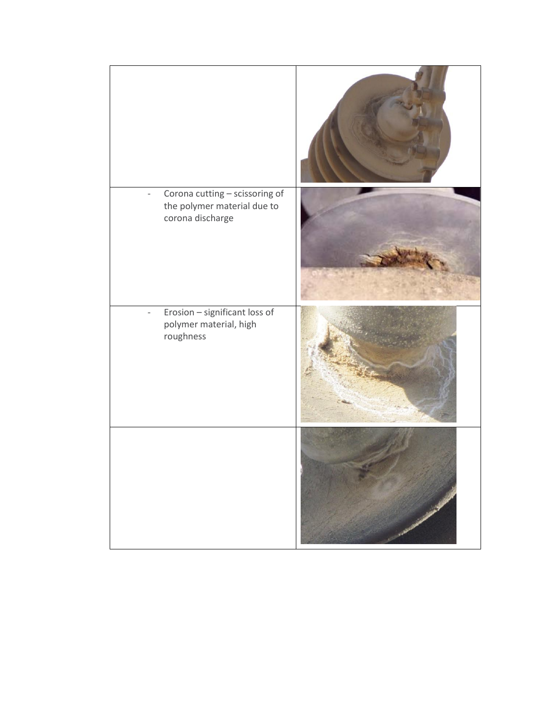| Corona cutting - scissoring of<br>the polymer material due to<br>corona discharge |  |
|-----------------------------------------------------------------------------------|--|
| Erosion - significant loss of<br>polymer material, high<br>roughness              |  |
|                                                                                   |  |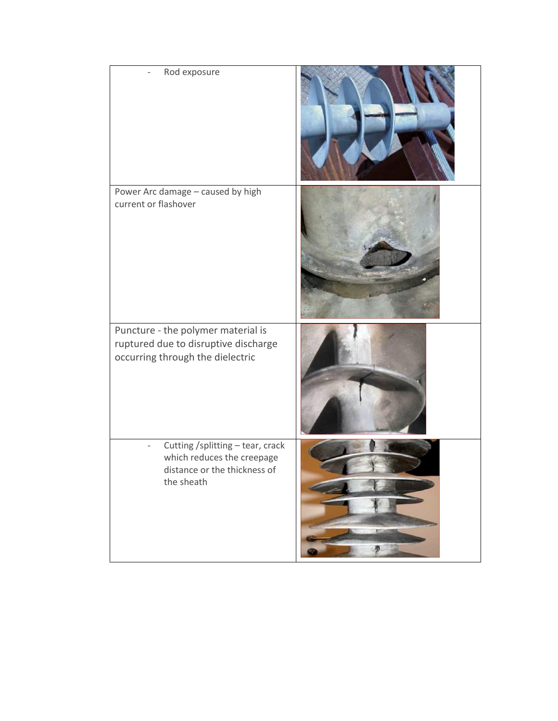| Rod exposure                                                                                                   |  |
|----------------------------------------------------------------------------------------------------------------|--|
| Power Arc damage - caused by high<br>current or flashover                                                      |  |
| Puncture - the polymer material is<br>ruptured due to disruptive discharge<br>occurring through the dielectric |  |
| Cutting /splitting - tear, crack<br>which reduces the creepage<br>distance or the thickness of<br>the sheath   |  |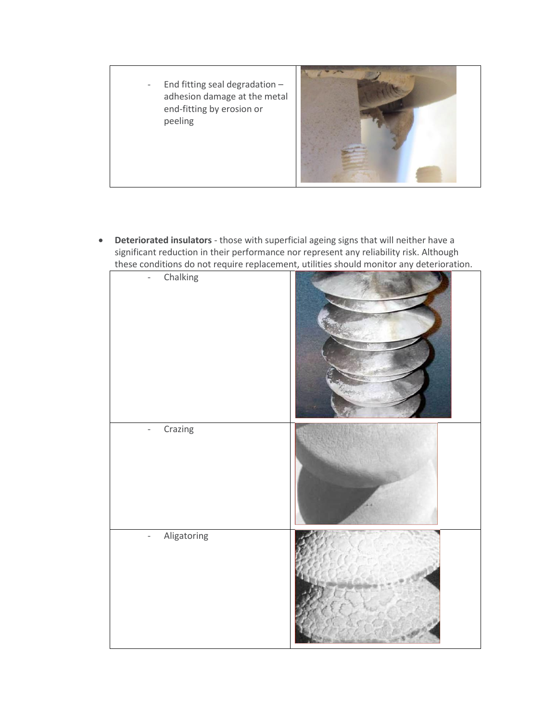- End fitting seal degradation – adhesion damage at the metal end-fitting by erosion or peeling



 **Deteriorated insulators** - those with superficial ageing signs that will neither have a significant reduction in their performance nor represent any reliability risk. Although these conditions do not require replacement, utilities should monitor any deterioration.

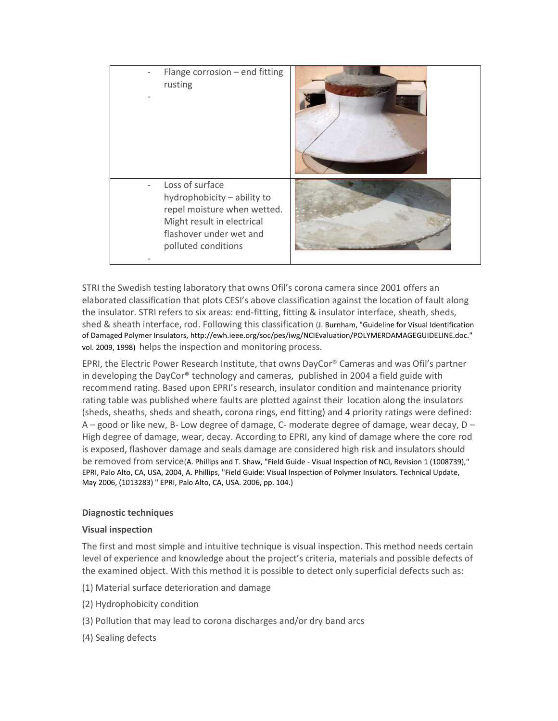| Flange corrosion - end fitting<br>rusting                                                                                                                     |  |
|---------------------------------------------------------------------------------------------------------------------------------------------------------------|--|
| Loss of surface<br>hydrophobicity - ability to<br>repel moisture when wetted.<br>Might result in electrical<br>flashover under wet and<br>polluted conditions |  |

STRI the Swedish testing laboratory that owns Ofil's corona camera since 2001 offers an elaborated classification that plots CESI's above classification against the location of fault along the insulator. STRI refers to six areas: end-fitting, fitting & insulator interface, sheath, sheds, shed & sheath interface, rod. Following this classification (J. Burnham, "Guideline for Visual Identification of Damaged Polymer Insulators, http://ewh.ieee.org/soc/pes/iwg/NCIEvaluation/POLYMERDAMAGEGUIDELINE.doc." vol. 2009, 1998) helps the inspection and monitoring process.

EPRI, the Electric Power Research Institute, that owns DayCor® Cameras and was Ofil's partner in developing the DayCor® technology and cameras, published in 2004 a field guide with recommend rating. Based upon EPRI's research, insulator condition and maintenance priority rating table was published where faults are plotted against their location along the insulators (sheds, sheaths, sheds and sheath, corona rings, end fitting) and 4 priority ratings were defined:  $A$  – good or like new, B- Low degree of damage, C- moderate degree of damage, wear decay,  $D$  – High degree of damage, wear, decay. According to EPRI, any kind of damage where the core rod is exposed, flashover damage and seals damage are considered high risk and insulators should be removed from service(A. Phillips and T. Shaw, "Field Guide - Visual Inspection of NCI, Revision 1 (1008739)," EPRI, Palo Alto, CA, USA, 2004, A. Phillips, "Field Guide: Visual Inspection of Polymer Insulators. Technical Update, May 2006, (1013283) " EPRI, Palo Alto, CA, USA. 2006, pp. 104.)

# **Diagnostic techniques**

# **Visual inspection**

The first and most simple and intuitive technique is visual inspection. This method needs certain level of experience and knowledge about the project's criteria, materials and possible defects of the examined object. With this method it is possible to detect only superficial defects such as:

- (1) Material surface deterioration and damage
- (2) Hydrophobicity condition
- (3) Pollution that may lead to corona discharges and/or dry band arcs
- (4) Sealing defects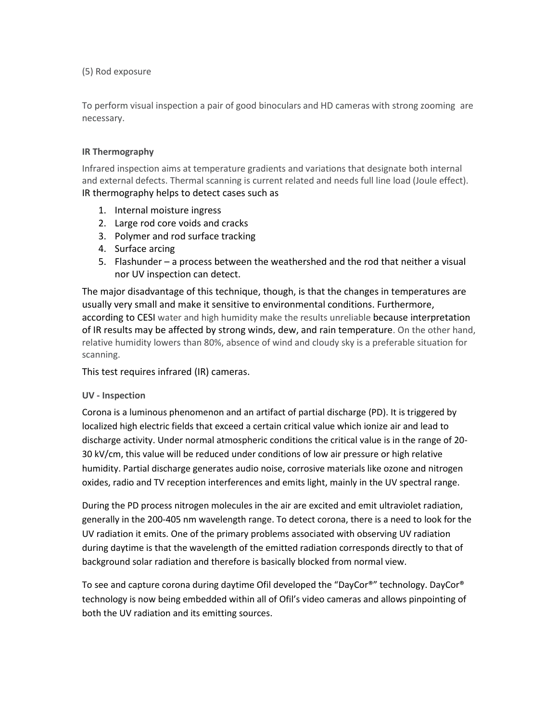(5) Rod exposure

To perform visual inspection a pair of good binoculars and HD cameras with strong zooming are necessary.

# **IR Thermography**

Infrared inspection aims at temperature gradients and variations that designate both internal and external defects. Thermal scanning is current related and needs full line load (Joule effect). IR thermography helps to detect cases such as

- 1. Internal moisture ingress
- 2. Large rod core voids and cracks
- 3. Polymer and rod surface tracking
- 4. Surface arcing
- 5. Flashunder a process between the weathershed and the rod that neither a visual nor UV inspection can detect.

The major disadvantage of this technique, though, is that the changes in temperatures are usually very small and make it sensitive to environmental conditions. Furthermore, according to CESI water and high humidity make the results unreliable because interpretation of IR results may be affected by strong winds, dew, and rain temperature. On the other hand, relative humidity lowers than 80%, absence of wind and cloudy sky is a preferable situation for scanning.

This test requires infrared (IR) cameras.

# **UV - Inspection**

Corona is a luminous phenomenon and an artifact of partial discharge (PD). It is triggered by localized high electric fields that exceed a certain critical value which ionize air and lead to discharge activity. Under normal atmospheric conditions the critical value is in the range of 20- 30 kV/cm, this value will be reduced under conditions of low air pressure or high relative humidity. Partial discharge generates audio noise, corrosive materials like ozone and nitrogen oxides, radio and TV reception interferences and emits light, mainly in the UV spectral range.

During the PD process nitrogen molecules in the air are excited and emit ultraviolet radiation, generally in the 200-405 nm wavelength range. To detect corona, there is a need to look for the UV radiation it emits. One of the primary problems associated with observing UV radiation during daytime is that the wavelength of the emitted radiation corresponds directly to that of background solar radiation and therefore is basically blocked from normal view.

To see and capture corona during daytime Ofil developed the "DayCor®" technology. DayCor® technology is now being embedded within all of Ofil's video cameras and allows pinpointing of both the UV radiation and its emitting sources.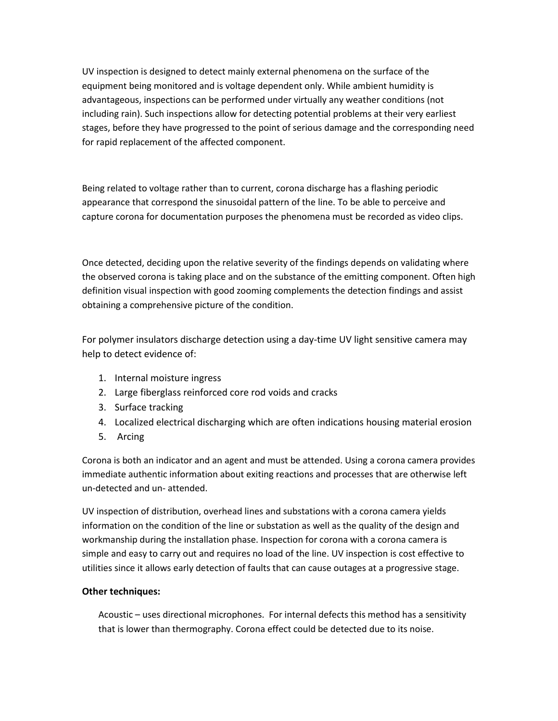UV inspection is designed to detect mainly external phenomena on the surface of the equipment being monitored and is voltage dependent only. While ambient humidity is advantageous, inspections can be performed under virtually any weather conditions (not including rain). Such inspections allow for detecting potential problems at their very earliest stages, before they have progressed to the point of serious damage and the corresponding need for rapid replacement of the affected component.

Being related to voltage rather than to current, corona discharge has a flashing periodic appearance that correspond the sinusoidal pattern of the line. To be able to perceive and capture corona for documentation purposes the phenomena must be recorded as video clips.

Once detected, deciding upon the relative severity of the findings depends on validating where the observed corona is taking place and on the substance of the emitting component. Often high definition visual inspection with good zooming complements the detection findings and assist obtaining a comprehensive picture of the condition.

For polymer insulators discharge detection using a day-time UV light sensitive camera may help to detect evidence of:

- 1. Internal moisture ingress
- 2. Large fiberglass reinforced core rod voids and cracks
- 3. Surface tracking
- 4. Localized electrical discharging which are often indications housing material erosion
- 5. Arcing

Corona is both an indicator and an agent and must be attended. Using a corona camera provides immediate authentic information about exiting reactions and processes that are otherwise left un-detected and un- attended.

UV inspection of distribution, overhead lines and substations with a corona camera yields information on the condition of the line or substation as well as the quality of the design and workmanship during the installation phase. Inspection for corona with a corona camera is simple and easy to carry out and requires no load of the line. UV inspection is cost effective to utilities since it allows early detection of faults that can cause outages at a progressive stage.

# **Other techniques:**

Acoustic – uses directional microphones. For internal defects this method has a sensitivity that is lower than thermography. Corona effect could be detected due to its noise.